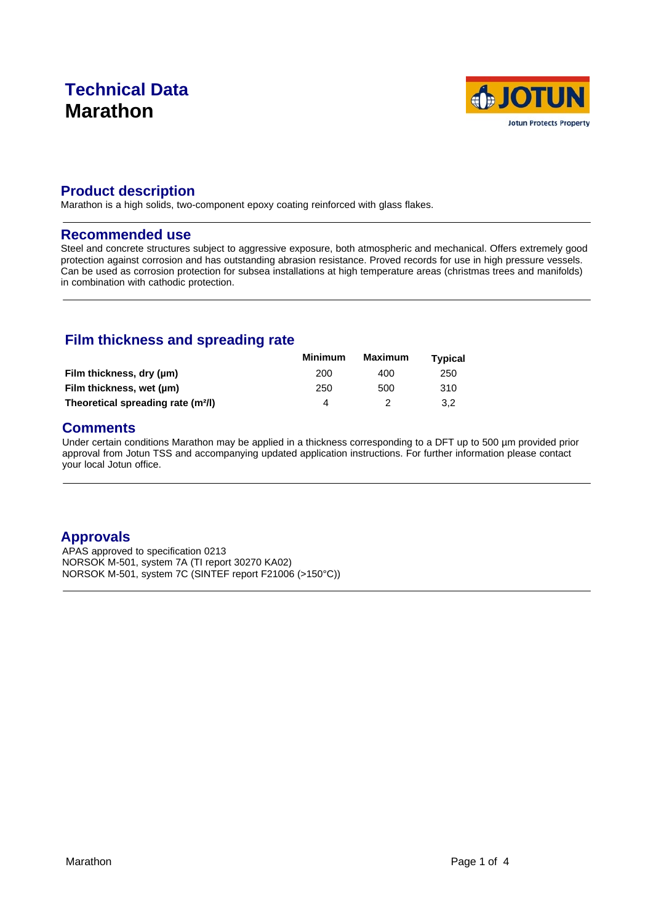# **Technical Data Marathon**



### **Product description**

Marathon is a high solids, two-component epoxy coating reinforced with glass flakes.

#### **Recommended use**

Steel and concrete structures subject to aggressive exposure, both atmospheric and mechanical. Offers extremely good protection against corrosion and has outstanding abrasion resistance. Proved records for use in high pressure vessels. Can be used as corrosion protection for subsea installations at high temperature areas (christmas trees and manifolds) in combination with cathodic protection.

## **Film thickness and spreading rate**

|                                                | <b>Minimum</b> | <b>Maximum</b> | <b>Typical</b> |  |
|------------------------------------------------|----------------|----------------|----------------|--|
| Film thickness, dry (um)                       | 200            | 400            | 250            |  |
| Film thickness, wet (µm)                       | 250            | 500            | 310            |  |
| Theoretical spreading rate (m <sup>2</sup> /l) |                |                | 3.2            |  |

### **Comments**

Under certain conditions Marathon may be applied in a thickness corresponding to a DFT up to 500 µm provided prior approval from Jotun TSS and accompanying updated application instructions. For further information please contact your local Jotun office.

## **Approvals**

APAS approved to specification 0213 NORSOK M-501, system 7A (TI report 30270 KA02) NORSOK M-501, system 7C (SINTEF report F21006 (>150°C))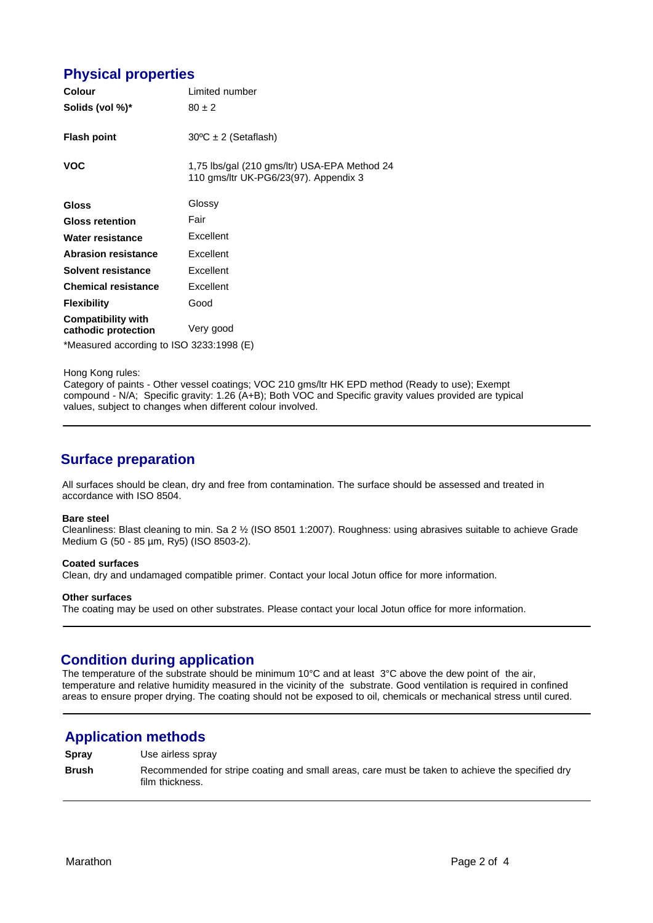## **Physical properties**

| <b>Colour</b>                                    | Limited number                                                                        |  |
|--------------------------------------------------|---------------------------------------------------------------------------------------|--|
| Solids (vol %)*                                  | $80 \pm 2$                                                                            |  |
| <b>Flash point</b>                               | $30^{\circ}$ C ± 2 (Setaflash)                                                        |  |
| <b>VOC</b>                                       | 1,75 lbs/gal (210 gms/ltr) USA-EPA Method 24<br>110 gms/ltr UK-PG6/23(97). Appendix 3 |  |
| <b>Gloss</b>                                     | Glossy                                                                                |  |
| <b>Gloss retention</b>                           | Fair                                                                                  |  |
| Water resistance                                 | Excellent                                                                             |  |
| <b>Abrasion resistance</b>                       | Excellent                                                                             |  |
| Solvent resistance                               | Excellent                                                                             |  |
| <b>Chemical resistance</b>                       | Excellent                                                                             |  |
| <b>Flexibility</b>                               | Good                                                                                  |  |
| <b>Compatibility with</b><br>cathodic protection | Very good                                                                             |  |
| $*Mod(0, 0, 0, 0)$                               |                                                                                       |  |

\*Measured according to ISO 3233:1998 (E)

Hong Kong rules:

Category of paints - Other vessel coatings; VOC 210 gms/ltr HK EPD method (Ready to use); Exempt compound - N/A; Specific gravity: 1.26 (A+B); Both VOC and Specific gravity values provided are typical values, subject to changes when different colour involved.

### **Surface preparation**

All surfaces should be clean, dry and free from contamination. The surface should be assessed and treated in accordance with ISO 8504.

#### **Bare steel**

Cleanliness: Blast cleaning to min. Sa 2 ½ (ISO 8501 1:2007). Roughness: using abrasives suitable to achieve Grade Medium G (50 - 85 µm, Ry5) (ISO 8503-2).

#### **Coated surfaces**

Clean, dry and undamaged compatible primer. Contact your local Jotun office for more information.

#### **Other surfaces**

The coating may be used on other substrates. Please contact your local Jotun office for more information.

### **Condition during application**

The temperature of the substrate should be minimum 10°C and at least 3°C above the dew point of the air, temperature and relative humidity measured in the vicinity of the substrate. Good ventilation is required in confined areas to ensure proper drying. The coating should not be exposed to oil, chemicals or mechanical stress until cured.

### **Application methods**

**Spray** Use airless spray

**Brush** Recommended for stripe coating and small areas, care must be taken to achieve the specified dry film thickness.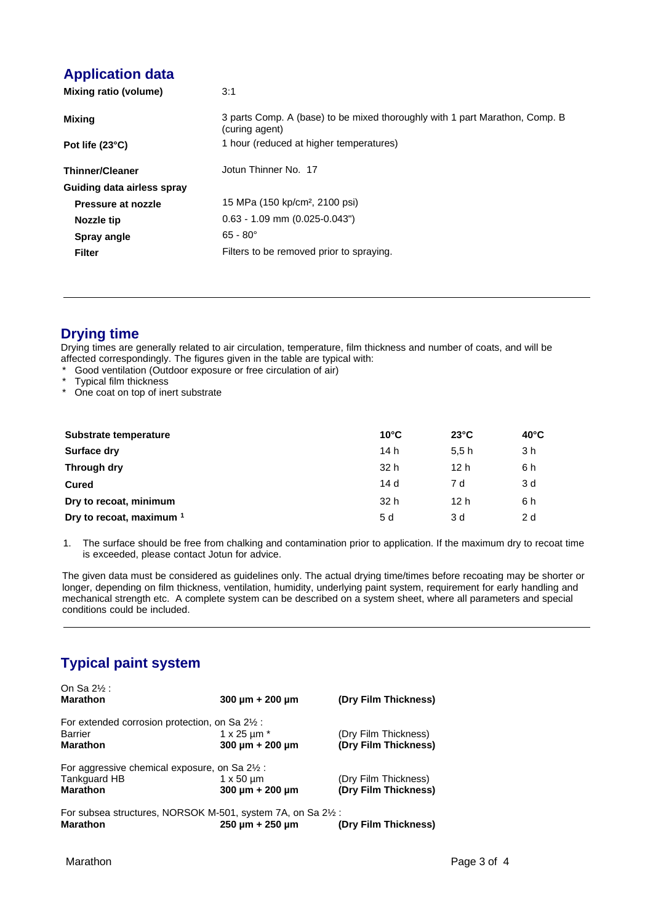## **Application data**

| Mixing ratio (volume)      | 3:1                                                                                           |
|----------------------------|-----------------------------------------------------------------------------------------------|
| Mixing                     | 3 parts Comp. A (base) to be mixed thoroughly with 1 part Marathon, Comp. B<br>(curing agent) |
| Pot life $(23^{\circ}C)$   | 1 hour (reduced at higher temperatures)                                                       |
| <b>Thinner/Cleaner</b>     | Jotun Thinner No. 17                                                                          |
| Guiding data airless spray |                                                                                               |
| Pressure at nozzle         | 15 MPa (150 kp/cm <sup>2</sup> , 2100 psi)                                                    |
| Nozzle tip                 | $0.63 - 1.09$ mm $(0.025 - 0.043")$                                                           |
| Spray angle                | $65 - 80^{\circ}$                                                                             |
| <b>Filter</b>              | Filters to be removed prior to spraying.                                                      |

## **Drying time**

Drying times are generally related to air circulation, temperature, film thickness and number of coats, and will be affected correspondingly. The figures given in the table are typical with:

- \* Good ventilation (Outdoor exposure or free circulation of air)
- \* Typical film thickness
- \* One coat on top of inert substrate

| Substrate temperature    | $10^{\circ}$ C  | $23^{\circ}$ C | $40^{\circ}$ C |
|--------------------------|-----------------|----------------|----------------|
| Surface dry              | 14 h            | 5.5h           | 3 h            |
| Through dry              | 32 h            | 12 h           | 6 h            |
| <b>Cured</b>             | 14 d            | 7 d            | 3 d            |
| Dry to recoat, minimum   | 32 <sub>h</sub> | 12 h           | 6 h            |
| Dry to recoat, maximum 1 | 5 d             | 3 d            | 2 d            |

1. The surface should be free from chalking and contamination prior to application. If the maximum dry to recoat time is exceeded, please contact Jotun for advice.

The given data must be considered as guidelines only. The actual drying time/times before recoating may be shorter or longer, depending on film thickness, ventilation, humidity, underlying paint system, requirement for early handling and mechanical strength etc. A complete system can be described on a system sheet, where all parameters and special conditions could be included.

## **Typical paint system**

| On Sa 2½ :                                                               |                                                              |                      |
|--------------------------------------------------------------------------|--------------------------------------------------------------|----------------------|
| <b>Marathon</b>                                                          | 300 $\mu$ m + 200 $\mu$ m                                    | (Dry Film Thickness) |
| For extended corrosion protection, on Sa 2 <sup>1</sup> / <sub>2</sub> : |                                                              |                      |
| <b>Barrier</b>                                                           | 1 x 25 $\mu$ m $*$                                           | (Dry Film Thickness) |
| <b>Marathon</b>                                                          | 300 $\mu$ m + 200 $\mu$ m                                    | (Dry Film Thickness) |
| For aggressive chemical exposure, on Sa 2 <sup>1/2</sup> :               |                                                              |                      |
| Tankguard HB                                                             | $1 \times 50 \mu m$                                          | (Dry Film Thickness) |
| <b>Marathon</b>                                                          | $300 \mu m + 200 \mu m$                                      | (Dry Film Thickness) |
|                                                                          | For subsea structures, NORSOK M-501, system 7A, on Sa 21/2 : |                      |
| <b>Marathon</b>                                                          | $250 \mu m + 250 \mu m$                                      | (Dry Film Thickness) |